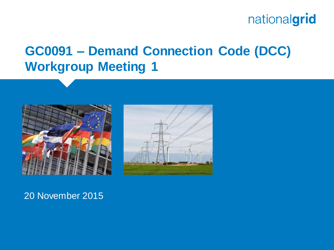## **GC0091 – Demand Connection Code (DCC) Workgroup Meeting 1**





#### 20 November 2015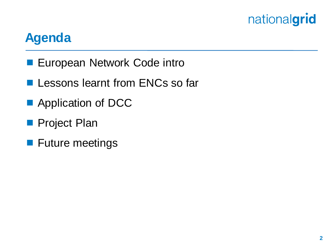### **Agenda**

- **European Network Code intro**
- **Lessons learnt from ENCs so far**
- **Application of DCC**
- **Project Plan**
- **Future meetings**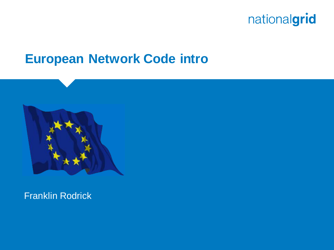

#### **European Network Code intro**



Franklin Rodrick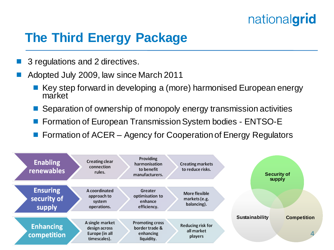## **The Third Energy Package**

- 3 regulations and 2 directives.
- Adopted July 2009, law since March 2011
	- $\blacksquare$  Key step forward in developing a (more) harmonised European energy market
	- Separation of ownership of monopoly energy transmission activities
	- Formation of European Transmission System bodies ENTSO-E
	- Formation of ACER Agency for Cooperation of Energy Regulators

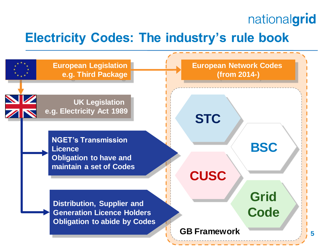## **Electricity Codes: The industry's rule book**

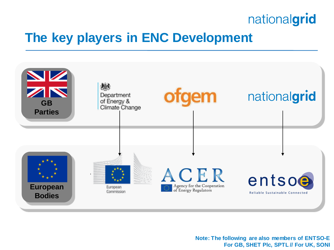### **The key players in ENC Development**



**Note: The following are also members of ENTSO-E For GB, SHET Plc, SPTL // For UK, SONI**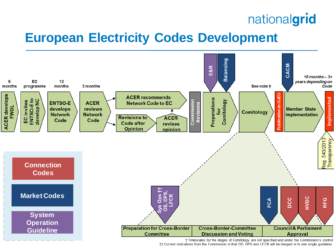#### **European Electricity Codes Development**



† Timescales for the stages of Comitology are not specified and under the Commission's control

†† Current indications from the Commission is that OS, OPS and LFCR will be merged in to one single guideline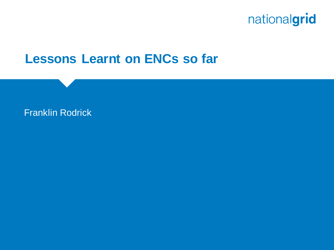

#### **Lessons Learnt on ENCs so far**

#### Franklin Rodrick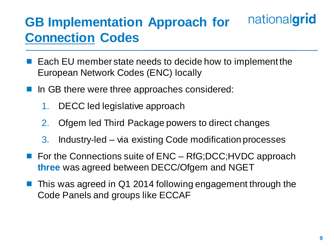#### nationalgrid **GB Implementation Approach for Connection Codes**

- Each EU member state needs to decide how to implement the European Network Codes (ENC) locally
- In GB there were three approaches considered:
	- 1. DECC led legislative approach
	- 2. Ofgem led Third Package powers to direct changes
	- 3. Industry-led via existing Code modification processes
- For the Connections suite of ENC RfG;DCC;HVDC approach **three** was agreed between DECC/Ofgem and NGET
- This was agreed in Q1 2014 following engagement through the Code Panels and groups like ECCAF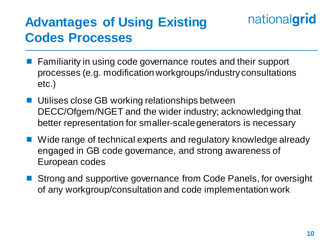# **Advantages of Using Existing Codes Processes**

- Familiarity in using code governance routes and their support processes (e.g. modification workgroups/industry consultations etc.)
- Utilises close GB working relationships between DECC/Ofgem/NGET and the wider industry; acknowledging that better representation for smaller-scale generators is necessary
- Wide range of technical experts and regulatory knowledge already engaged in GB code governance, and strong awareness of European codes
- Strong and supportive governance from Code Panels, for oversight of any workgroup/consultation and code implementation work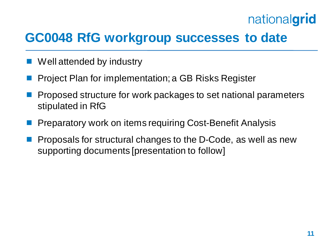### **GC0048 RfG workgroup successes to date**

- Well attended by industry
- Project Plan for implementation; a GB Risks Register
- Proposed structure for work packages to set national parameters stipulated in RfG
- Preparatory work on items requiring Cost-Benefit Analysis
- Proposals for structural changes to the D-Code, as well as new supporting documents [presentation to follow]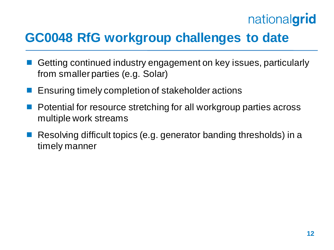## **GC0048 RfG workgroup challenges to date**

- Getting continued industry engagement on key issues, particularly from smaller parties (e.g. Solar)
- Ensuring timely completion of stakeholder actions
- Potential for resource stretching for all workgroup parties across multiple work streams
- Resolving difficult topics (e.g. generator banding thresholds) in a timely manner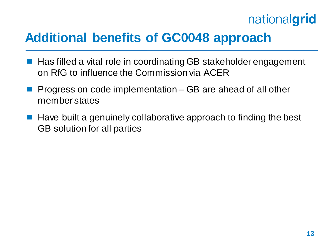### **Additional benefits of GC0048 approach**

- Has filled a vital role in coordinating GB stakeholder engagement on RfG to influence the Commission via ACER
- Progress on code implementation GB are ahead of all other member states
- Have built a genuinely collaborative approach to finding the best GB solution for all parties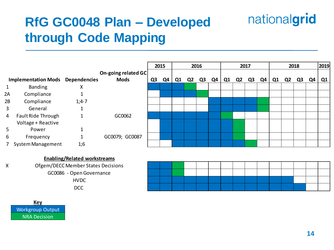# **RfG GC0048 Plan – Developed through Code Mapping**

|                |                                         |         |                     |                | 2015<br>2016 |    |                |    |    | 2017 |    |    |    | 2018           |    |    |    | 2019           |
|----------------|-----------------------------------------|---------|---------------------|----------------|--------------|----|----------------|----|----|------|----|----|----|----------------|----|----|----|----------------|
|                |                                         |         | On-going related GC |                |              |    |                |    |    |      |    |    |    |                |    |    |    |                |
|                | <b>Implementation Mods Dependencies</b> |         | <b>Mods</b>         | Q <sub>3</sub> | Q4           | Q1 | Q <sub>2</sub> | Q3 | Q4 | Q1   | Q2 | Q3 | Q4 | Q <sub>1</sub> | Q2 | Q3 | Q4 | Q <sub>1</sub> |
| $\mathbf{1}$   | Banding                                 | х       |                     |                |              |    |                |    |    |      |    |    |    |                |    |    |    |                |
| 2A             | Compliance                              |         |                     |                |              |    |                |    |    |      |    |    |    |                |    |    |    |                |
| 2B             | Compliance                              | $1;4-7$ |                     |                |              |    |                |    |    |      |    |    |    |                |    |    |    |                |
| 3              | General                                 |         |                     |                |              |    |                |    |    |      |    |    |    |                |    |    |    |                |
| $\overline{4}$ | Fault Ride Through                      |         | GC0062              |                |              |    |                |    |    |      |    |    |    |                |    |    |    |                |
|                | Voltage + Reactive                      |         |                     |                |              |    |                |    |    |      |    |    |    |                |    |    |    |                |
| 5              | Power                                   |         |                     |                |              |    |                |    |    |      |    |    |    |                |    |    |    |                |
| 6              | Frequency                               |         | GC0079; GC0087      |                |              |    |                |    |    |      |    |    |    |                |    |    |    |                |
|                | 7 System Management                     | 1;6     |                     |                |              |    |                |    |    |      |    |    |    |                |    |    |    |                |







nationalgrid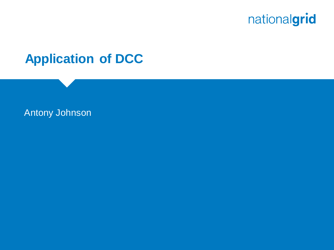

#### **Application of DCC**

#### Antony Johnson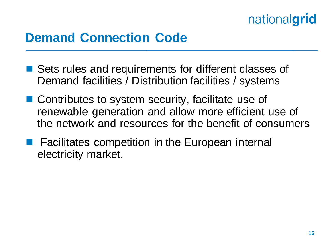### **Demand Connection Code**

- Sets rules and requirements for different classes of Demand facilities / Distribution facilities / systems
- Contributes to system security, facilitate use of renewable generation and allow more efficient use of the network and resources for the benefit of consumers
- **Facilitates competition in the European internal** electricity market.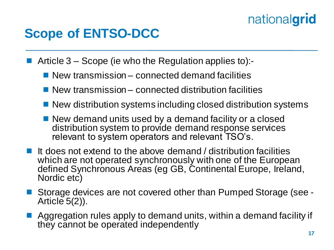## **Scope of ENTSO-DCC**

Article 3 – Scope (ie who the Regulation applies to):-

- New transmission connected demand facilities
- $\blacksquare$  New transmission connected distribution facilities
- New distribution systems including closed distribution systems
- New demand units used by a demand facility or a closed distribution system to provide demand response services relevant to system operators and relevant TSO's.
- It does not extend to the above demand / distribution facilities which are not operated synchronously with one of the European defined Synchronous Areas (eg GB, Continental Europe, Ireland, Nordic etc)
- Storage devices are not covered other than Pumped Storage (see Article  $5(2)$ ).
- Aggregation rules apply to demand units, within a demand facility if they cannot be operated independently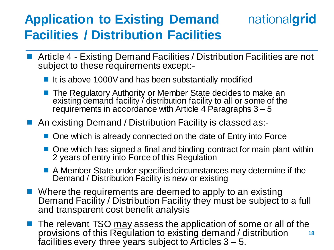## **Application to Existing Demand Facilities / Distribution Facilities**

■ Article 4 - Existing Demand Facilities / Distribution Facilities are not subject to these requirements except:-

nationalgrid

- It is above 1000V and has been substantially modified
- The Regulatory Authority or Member State decides to make an existing demand facility / distribution facility to all or some of the requirements in accordance with Article 4 Paragraphs  $3 - 5$
- An existing Demand / Distribution Facility is classed as:-
	- One which is already connected on the date of Entry into Force
	- One which has signed a final and binding contract for main plant within 2 years of entry into Force of this Regulation
	- A Member State under specified circumstances may determine if the Demand / Distribution Facility is new or existing
- Where the requirements are deemed to apply to an existing Demand Facility / Distribution Facility they must be subject to a full and transparent cost benefit analysis
- **18** The relevant TSO may assess the application of some or all of the provisions of this Regulation to existing demand / distribution facilities every three years subject to Articles  $3 - 5$ .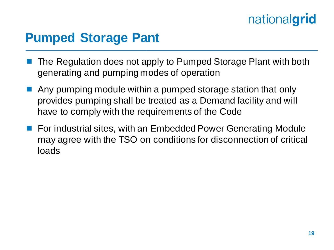### **Pumped Storage Pant**

- The Regulation does not apply to Pumped Storage Plant with both generating and pumping modes of operation
- Any pumping module within a pumped storage station that only provides pumping shall be treated as a Demand facility and will have to comply with the requirements of the Code
- For industrial sites, with an Embedded Power Generating Module may agree with the TSO on conditions for disconnection of critical loads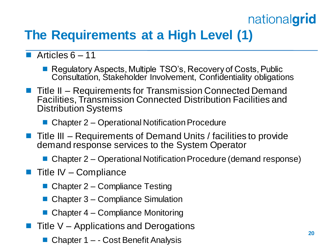# **The Requirements at a High Level (1)**

#### Articles  $6 - 11$

- Regulatory Aspects, Multiple TSO's, Recovery of Costs, Public Consultation, Stakeholder Involvement, Confidentiality obligations
- Title II Requirements for Transmission Connected Demand Facilities, Transmission Connected Distribution Facilities and Distribution Systems
	- Chapter 2 Operational Notification Procedure
- Title III Requirements of Demand Units / facilities to provide demand response services to the System Operator
	- Chapter 2 Operational Notification Procedure (demand response)
- Title IV Compliance
	- Chapter 2 Compliance Testing
	- Chapter 3 Compliance Simulation
	- Chapter 4 Compliance Monitoring
- Title V Applications and Derogations
	- Chapter 1 - Cost Benefit Analysis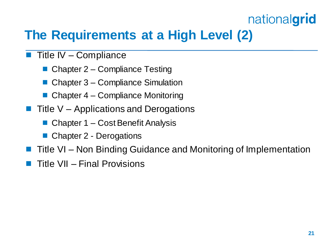# **The Requirements at a High Level (2)**

- $\blacksquare$  Title IV Compliance
	- Chapter 2 Compliance Testing
	- Chapter 3 Compliance Simulation
	- $\blacksquare$  Chapter 4 Compliance Monitoring
- Title V Applications and Derogations
	- Chapter 1 Cost Benefit Analysis
	- Chapter 2 Derogations
- Title VI Non Binding Guidance and Monitoring of Implementation
- Title VII Final Provisions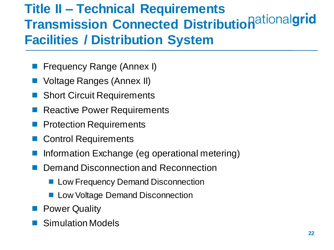# **Title II – Technical Requirements Transmission Connected Distributionalding and Transmission Connected Distribution and algorithment Facilities / Distribution System**

- Frequency Range (Annex I)
- Voltage Ranges (Annex II)
- Short Circuit Requirements
- Reactive Power Requirements
- Protection Requirements
- Control Requirements
- Information Exchange (eg operational metering)
- Demand Disconnection and Reconnection
	- **Low Frequency Demand Disconnection**
	- **Low Voltage Demand Disconnection**
- **Power Quality**
- Simulation Models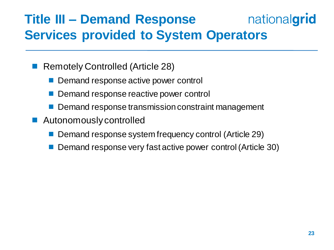#### nationalgrid **Title III – Demand Response Services provided to System Operators**

Remotely Controlled (Article 28)

- Demand response active power control
- Demand response reactive power control
- Demand response transmission constraint management
- **Autonomously controlled** 
	- Demand response system frequency control (Article 29)
	- Demand response very fast active power control (Article 30)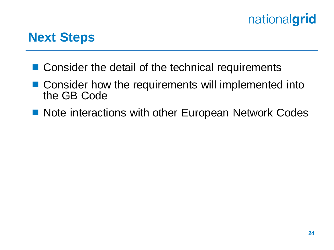#### **Next Steps**

- Consider the detail of the technical requirements
- Consider how the requirements will implemented into the GB Code
- Note interactions with other European Network Codes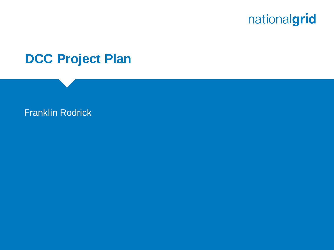

#### **DCC Project Plan**

#### Franklin Rodrick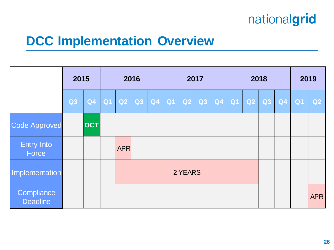#### **DCC Implementation Overview**

|                               | 2015           |            | 2016        |  |                       | 2017 |  |                   |  | 2018 |  |  |    | 2019           |            |
|-------------------------------|----------------|------------|-------------|--|-----------------------|------|--|-------------------|--|------|--|--|----|----------------|------------|
|                               | Q <sub>3</sub> |            | Q4 Q1 Q2 Q3 |  | $\vert$ Q4 $\vert$ Q1 |      |  | Q2 Q3 Q4 Q1 Q2 Q3 |  |      |  |  | Q4 | Q <sub>1</sub> | Q2         |
| <b>Code Approved</b>          |                | <b>OCT</b> |             |  |                       |      |  |                   |  |      |  |  |    |                |            |
| <b>Entry Into</b><br>Force    |                |            | <b>APR</b>  |  |                       |      |  |                   |  |      |  |  |    |                |            |
| Implementation                |                |            | 2 YEARS     |  |                       |      |  |                   |  |      |  |  |    |                |            |
| Compliance<br><b>Deadline</b> |                |            |             |  |                       |      |  |                   |  |      |  |  |    |                | <b>APR</b> |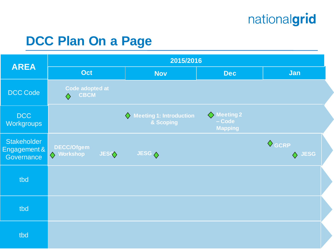# **DCC Plan On a Page**

|                                                  | 2015/2016                                    |                                                 |                                         |                           |  |  |  |  |  |  |  |  |  |
|--------------------------------------------------|----------------------------------------------|-------------------------------------------------|-----------------------------------------|---------------------------|--|--|--|--|--|--|--|--|--|
| <b>AREA</b>                                      | <b>Oct</b>                                   | <b>Nov</b>                                      | <b>Dec</b>                              | Jan                       |  |  |  |  |  |  |  |  |  |
| DCC Code                                         | Code adopted at<br><b>CBCM</b><br>$\Diamond$ |                                                 |                                         |                           |  |  |  |  |  |  |  |  |  |
| <b>DCC</b><br><b>Workgroups</b>                  |                                              | $\Diamond$ Meeting 1: Introduction<br>& Scoping | ♦ Meeting 2<br>- Code<br><b>Mapping</b> |                           |  |  |  |  |  |  |  |  |  |
| <b>Stakeholder</b><br>Engagement &<br>Governance | DECC/Ofgem<br>Norkshop<br><b>JESC</b>        | JESG <                                          |                                         | $\Diamond$ GCRP<br>♦ JESG |  |  |  |  |  |  |  |  |  |
| tbd                                              |                                              |                                                 |                                         |                           |  |  |  |  |  |  |  |  |  |
| tbd                                              |                                              |                                                 |                                         |                           |  |  |  |  |  |  |  |  |  |
| tbd                                              |                                              |                                                 |                                         |                           |  |  |  |  |  |  |  |  |  |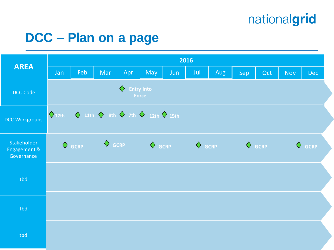## **DCC – Plan on a page**

|                                           | 2016                               |     |            |     |                                                                                                   |     |     |     |                 |                 |            |            |  |  |
|-------------------------------------------|------------------------------------|-----|------------|-----|---------------------------------------------------------------------------------------------------|-----|-----|-----|-----------------|-----------------|------------|------------|--|--|
| <b>AREA</b>                               | Jan                                | Feb | <b>Mar</b> | Apr | May                                                                                               | Jun | Jul | Aug | Sep             | Oct             | <b>Nov</b> | <b>Dec</b> |  |  |
| DCC Code                                  |                                    |     |            | ♦   | <b>Entry Into</b><br>Force                                                                        |     |     |     |                 |                 |            |            |  |  |
| <b>DCC Workgroups</b>                     | $\bigwedge$ 12th                   |     |            |     | $\diamondsuit$ 11th $\diamondsuit$ 9th $\diamondsuit$ 7th $\diamondsuit$ 12th $\diamondsuit$ 15th |     |     |     |                 |                 |            |            |  |  |
| Stakeholder<br>Engagement &<br>Governance | $\Diamond$ GCRP<br>$\Diamond$ GCRP |     |            |     | $\Diamond$ GCRP $\Diamond$ GCRP                                                                   |     |     |     | $\Diamond$ GCRP | $\Diamond$ GCRP |            |            |  |  |
| tbd                                       |                                    |     |            |     |                                                                                                   |     |     |     |                 |                 |            |            |  |  |
| tbd                                       |                                    |     |            |     |                                                                                                   |     |     |     |                 |                 |            |            |  |  |
| tbd                                       |                                    |     |            |     |                                                                                                   |     |     |     |                 |                 |            |            |  |  |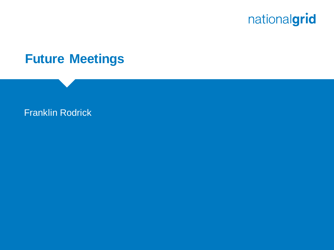

#### **Future Meetings**

#### Franklin Rodrick